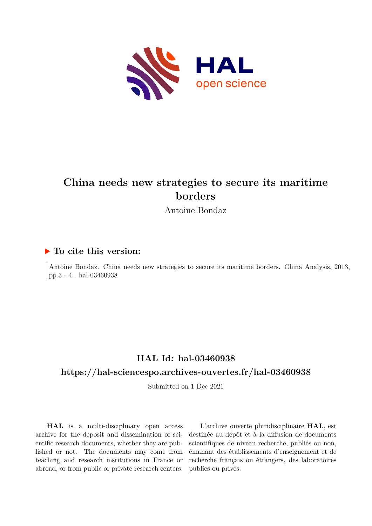

# **China needs new strategies to secure its maritime borders**

Antoine Bondaz

## **To cite this version:**

Antoine Bondaz. China needs new strategies to secure its maritime borders. China Analysis, 2013, pp.3 - 4. hal-03460938

## **HAL Id: hal-03460938 <https://hal-sciencespo.archives-ouvertes.fr/hal-03460938>**

Submitted on 1 Dec 2021

**HAL** is a multi-disciplinary open access archive for the deposit and dissemination of scientific research documents, whether they are published or not. The documents may come from teaching and research institutions in France or abroad, or from public or private research centers.

L'archive ouverte pluridisciplinaire **HAL**, est destinée au dépôt et à la diffusion de documents scientifiques de niveau recherche, publiés ou non, émanant des établissements d'enseignement et de recherche français ou étrangers, des laboratoires publics ou privés.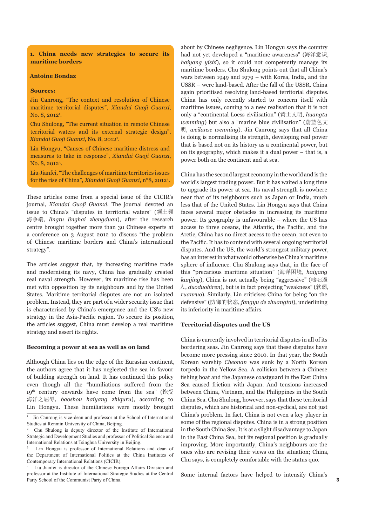**1. China needs new strategies to secure its maritime borders**

#### **Antoine Bondaz**

#### **Sources:**

Jin Canrong, "The context and resolution of Chinese maritime territorial disputes", *Xiandai Guoji Guanxi*,  $\rm No. \ 8, 2012^{\rm 1}.$ 

Chu Shulong, "The current situation in remote Chinese territorial waters and its external strategic design", *Xiandai Guoji Guanxi*, No. 8, 20122 .

Lin Hongyu, "Causes of Chinese maritime distress and measures to take in response", *Xiandai Guoji Guanxi*, No. 8, 2012<sup>3</sup>.

Liu Jianfei, "The challenges of maritime territories issues for the rise of China", *Xiandai Guoji Guanxi*, n°8, 2012<sup>4</sup> .

These articles come from a special issue of the CICIR's journal, *Xiandai Guoji Guanxi*. The journal devoted an issue to China's "disputes in territorial waters" (领土领 海争端, *lingtu linghai zhengduan*), after the research centre brought together more than 30 Chinese experts at a conference on 3 August 2012 to discuss "the problem of Chinese maritime borders and China's international strategy".

The articles suggest that, by increasing maritime trade and modernising its navy, China has gradually created real naval strength. However, its maritime rise has been met with opposition by its neighbours and by the United States. Maritime territorial disputes are not an isolated problem. Instead, they are part of a wider security issue that is characterised by China's emergence and the US's new strategy in the Asia-Pacific region. To secure its position, the articles suggest, China must develop a real maritime strategy and assert its rights.

#### **Becoming a power at sea as well as on land**

Although China lies on the edge of the Eurasian continent, the authors agree that it has neglected the sea in favour of building strength on land. It has continued this policy even though all the "humiliations suffered from the 19th century onwards have come from the sea" (饱受 海洋之屈辱, *baoshou haiyang zhiquru*), according to Lin Hongyu. These humiliations were mostly brought

about by Chinese negligence. Lin Hongyu says the country had not yet developed a "maritime awareness" (海洋意识, *haiyang yishi*), so it could not competently manage its maritime borders. Chu Shulong points out that all China's wars between 1949 and 1979 – with Korea, India, and the USSR – were land-based. After the fall of the USSR, China again prioritised resolving land-based territorial disputes. China has only recently started to concern itself with maritime issues, coming to a new realisation that it is not only a "continental Loess civilisation" (黄土文明, *huangtu wenming*) but also a "marine blue civilisation" (蔚蓝色文 明, *weilanse wenming*). Jin Canrong says that all China is doing is normalising its strength, developing real power that is based not on its history as a continental power, but on its geography, which makes it a dual power – that is, a power both on the continent and at sea.

China has the second largest economy in the world and is the world's largest trading power. But it has waited a long time to upgrade its power at sea. Its naval strength is nowhere near that of its neighbours such as Japan or India, much less that of the United States. Lin Hongyu says that China faces several major obstacles in increasing its maritime power. Its geography is unfavourable – where the US has access to three oceans, the Atlantic, the Pacific, and the Arctic, China has no direct access to the ocean, not even to the Pacific. It has to contend with several ongoing territorial disputes. And the US, the world's strongest military power, has an interest in what would otherwise be China's maritime sphere of influence. Chu Shulong says that, in the face of this "precarious maritime situation" (海洋困境, *haiyang kunjing*), China is not actually being "aggressive" (咄咄逼 人, *duoduobiren*), but is in fact projecting "weakness" (软弱, *ruanruo*). Similarly, Lin criticises China for being "on the defensive" (防御的状态, *fangyu de zhuangtai*), underlining its inferiority in maritime affairs.

#### **Territorial disputes and the US**

China is currently involved in territorial disputes in all of its bordering seas. Jin Canrong says that these disputes have become more pressing since 2010. In that year, the South Korean warship *Cheonan* was sunk by a North Korean torpedo in the Yellow Sea. A collision between a Chinese fishing boat and the Japanese coastguard in the East China Sea caused friction with Japan. And tensions increased between China, Vietnam, and the Philippines in the South China Sea. Chu Shulong, however, says that these territorial disputes, which are historical and non-cyclical, are not just China's problem. In fact, China is not even a key player in some of the regional disputes. China is in a strong position in the South China Sea. It is at a slight disadvantage to Japan in the East China Sea, but its regional position is gradually improving. More importantly, China's neighbours are the ones who are revising their views on the situation; China, Chu says, is completely comfortable with the status quo.

Some internal factors have helped to intensify China's

<sup>1</sup> Jin Canrong is vice-dean and professor at the School of International Studies at Renmin University of China, Beijing.

<sup>2</sup> Chu Shulong is deputy director of the Institute of International Strategic and Development Studies and professor of Political Science and International Relations at Tsinghua University in Beijing.

<sup>3</sup> Lin Hongyu is professor of International Relations and dean of the Department of International Politics at the China Institutes of Contemporary International Relations (CICIR).

<sup>4</sup> Liu Jianfei is director of the Chinese Foreign Affairs Division and professor at the Institute of International Strategic Studies at the Central Party School of the Communist Party of China.